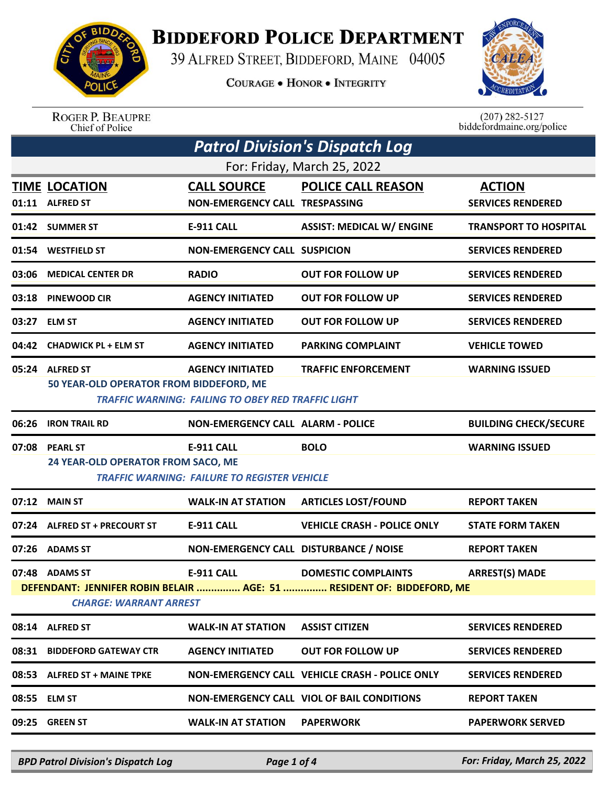

## **BIDDEFORD POLICE DEPARTMENT**

39 ALFRED STREET, BIDDEFORD, MAINE 04005

**COURAGE . HONOR . INTEGRITY** 



ROGER P. BEAUPRE<br>Chief of Police

 $(207)$  282-5127<br>biddefordmaine.org/police

| <b>Patrol Division's Dispatch Log</b>                                                                                                                                                                |                                                            |                                                                                      |                                                       |                                           |  |
|------------------------------------------------------------------------------------------------------------------------------------------------------------------------------------------------------|------------------------------------------------------------|--------------------------------------------------------------------------------------|-------------------------------------------------------|-------------------------------------------|--|
| For: Friday, March 25, 2022                                                                                                                                                                          |                                                            |                                                                                      |                                                       |                                           |  |
|                                                                                                                                                                                                      | <b>TIME LOCATION</b><br>01:11 ALFRED ST                    | <b>CALL SOURCE</b><br><b>NON-EMERGENCY CALL TRESPASSING</b>                          | <b>POLICE CALL REASON</b>                             | <b>ACTION</b><br><b>SERVICES RENDERED</b> |  |
|                                                                                                                                                                                                      | 01:42 SUMMER ST                                            | <b>E-911 CALL</b>                                                                    | <b>ASSIST: MEDICAL W/ ENGINE</b>                      | <b>TRANSPORT TO HOSPITAL</b>              |  |
| 01:54                                                                                                                                                                                                | <b>WESTFIELD ST</b>                                        | <b>NON-EMERGENCY CALL SUSPICION</b>                                                  |                                                       | <b>SERVICES RENDERED</b>                  |  |
| 03:06                                                                                                                                                                                                | <b>MEDICAL CENTER DR</b>                                   | <b>RADIO</b>                                                                         | <b>OUT FOR FOLLOW UP</b>                              | <b>SERVICES RENDERED</b>                  |  |
|                                                                                                                                                                                                      | 03:18 PINEWOOD CIR                                         | <b>AGENCY INITIATED</b>                                                              | <b>OUT FOR FOLLOW UP</b>                              | <b>SERVICES RENDERED</b>                  |  |
|                                                                                                                                                                                                      | 03:27 ELM ST                                               | <b>AGENCY INITIATED</b>                                                              | <b>OUT FOR FOLLOW UP</b>                              | <b>SERVICES RENDERED</b>                  |  |
|                                                                                                                                                                                                      | 04:42 CHADWICK PL + ELM ST                                 | <b>AGENCY INITIATED</b>                                                              | <b>PARKING COMPLAINT</b>                              | <b>VEHICLE TOWED</b>                      |  |
|                                                                                                                                                                                                      | 05:24 ALFRED ST<br>50 YEAR-OLD OPERATOR FROM BIDDEFORD, ME | <b>AGENCY INITIATED</b><br><b>TRAFFIC WARNING: FAILING TO OBEY RED TRAFFIC LIGHT</b> | <b>TRAFFIC ENFORCEMENT</b>                            | <b>WARNING ISSUED</b>                     |  |
| 06:26                                                                                                                                                                                                | <b>IRON TRAIL RD</b>                                       | <b>NON-EMERGENCY CALL ALARM - POLICE</b>                                             |                                                       | <b>BUILDING CHECK/SECURE</b>              |  |
|                                                                                                                                                                                                      | 07:08 PEARL ST<br>24 YEAR-OLD OPERATOR FROM SACO, ME       | <b>E-911 CALL</b><br><b>TRAFFIC WARNING: FAILURE TO REGISTER VEHICLE</b>             | <b>BOLO</b>                                           | <b>WARNING ISSUED</b>                     |  |
|                                                                                                                                                                                                      | 07:12 MAIN ST                                              | <b>WALK-IN AT STATION</b>                                                            | <b>ARTICLES LOST/FOUND</b>                            | <b>REPORT TAKEN</b>                       |  |
|                                                                                                                                                                                                      | 07:24 ALFRED ST + PRECOURT ST                              | <b>E-911 CALL</b>                                                                    | <b>VEHICLE CRASH - POLICE ONLY</b>                    | <b>STATE FORM TAKEN</b>                   |  |
|                                                                                                                                                                                                      | 07:26 ADAMS ST                                             | NON-EMERGENCY CALL DISTURBANCE / NOISE                                               |                                                       | <b>REPORT TAKEN</b>                       |  |
| <b>ARREST(S) MADE</b><br><b>E-911 CALL</b><br><b>DOMESTIC COMPLAINTS</b><br>07:48 ADAMS ST<br>DEFENDANT: JENNIFER ROBIN BELAIR  AGE: 51  RESIDENT OF: BIDDEFORD, ME<br><b>CHARGE: WARRANT ARREST</b> |                                                            |                                                                                      |                                                       |                                           |  |
|                                                                                                                                                                                                      | 08:14 ALFRED ST                                            | <b>WALK-IN AT STATION</b>                                                            | <b>ASSIST CITIZEN</b>                                 | <b>SERVICES RENDERED</b>                  |  |
|                                                                                                                                                                                                      | 08:31 BIDDEFORD GATEWAY CTR                                | <b>AGENCY INITIATED</b>                                                              | <b>OUT FOR FOLLOW UP</b>                              | <b>SERVICES RENDERED</b>                  |  |
|                                                                                                                                                                                                      | 08:53 ALFRED ST + MAINE TPKE                               |                                                                                      | <b>NON-EMERGENCY CALL VEHICLE CRASH - POLICE ONLY</b> | <b>SERVICES RENDERED</b>                  |  |
|                                                                                                                                                                                                      | 08:55 ELM ST                                               |                                                                                      | <b>NON-EMERGENCY CALL VIOL OF BAIL CONDITIONS</b>     | <b>REPORT TAKEN</b>                       |  |
| 09:25                                                                                                                                                                                                | <b>GREEN ST</b>                                            | <b>WALK-IN AT STATION</b>                                                            | <b>PAPERWORK</b>                                      | <b>PAPERWORK SERVED</b>                   |  |

*BPD Patrol Division's Dispatch Log Page 1 of 4 For: Friday, March 25, 2022*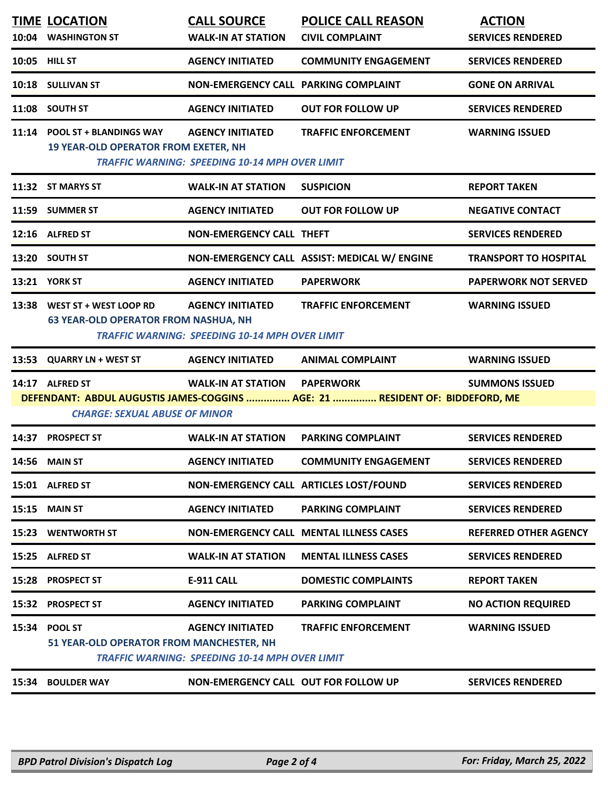|       | <b>TIME LOCATION</b><br>10:04 WASHINGTON ST                                  | <b>CALL SOURCE</b><br><b>WALK-IN AT STATION</b>                                  | <b>POLICE CALL REASON</b><br><b>CIVIL COMPLAINT</b>                                              | <b>ACTION</b><br><b>SERVICES RENDERED</b> |
|-------|------------------------------------------------------------------------------|----------------------------------------------------------------------------------|--------------------------------------------------------------------------------------------------|-------------------------------------------|
|       | 10:05 HILL ST                                                                | <b>AGENCY INITIATED</b>                                                          | <b>COMMUNITY ENGAGEMENT</b>                                                                      | <b>SERVICES RENDERED</b>                  |
|       | 10:18 SULLIVAN ST                                                            | NON-EMERGENCY CALL PARKING COMPLAINT                                             |                                                                                                  | <b>GONE ON ARRIVAL</b>                    |
|       | 11:08 SOUTH ST                                                               | <b>AGENCY INITIATED</b>                                                          | <b>OUT FOR FOLLOW UP</b>                                                                         | <b>SERVICES RENDERED</b>                  |
|       | 11:14 POOL ST + BLANDINGS WAY<br><b>19 YEAR-OLD OPERATOR FROM EXETER, NH</b> | <b>AGENCY INITIATED</b><br><b>TRAFFIC WARNING: SPEEDING 10-14 MPH OVER LIMIT</b> | <b>TRAFFIC ENFORCEMENT</b>                                                                       | <b>WARNING ISSUED</b>                     |
|       | 11:32 ST MARYS ST                                                            | <b>WALK-IN AT STATION</b>                                                        | <b>SUSPICION</b>                                                                                 | <b>REPORT TAKEN</b>                       |
|       | 11:59 SUMMER ST                                                              | <b>AGENCY INITIATED</b>                                                          | <b>OUT FOR FOLLOW UP</b>                                                                         | <b>NEGATIVE CONTACT</b>                   |
|       | 12:16 ALFRED ST                                                              | <b>NON-EMERGENCY CALL THEFT</b>                                                  |                                                                                                  | <b>SERVICES RENDERED</b>                  |
|       | 13:20 SOUTH ST                                                               |                                                                                  | NON-EMERGENCY CALL ASSIST: MEDICAL W/ ENGINE                                                     | <b>TRANSPORT TO HOSPITAL</b>              |
|       | 13:21 YORK ST                                                                | <b>AGENCY INITIATED</b>                                                          | <b>PAPERWORK</b>                                                                                 | <b>PAPERWORK NOT SERVED</b>               |
|       | 13:38 WEST ST + WEST LOOP RD<br><b>63 YEAR-OLD OPERATOR FROM NASHUA, NH</b>  | <b>AGENCY INITIATED</b><br><b>TRAFFIC WARNING: SPEEDING 10-14 MPH OVER LIMIT</b> | <b>TRAFFIC ENFORCEMENT</b>                                                                       | <b>WARNING ISSUED</b>                     |
| 13:53 | <b>QUARRY LN + WEST ST</b>                                                   | <b>AGENCY INITIATED</b>                                                          | <b>ANIMAL COMPLAINT</b>                                                                          | <b>WARNING ISSUED</b>                     |
|       | 14:17 ALFRED ST<br><b>CHARGE: SEXUAL ABUSE OF MINOR</b>                      | <b>WALK-IN AT STATION</b>                                                        | <b>PAPERWORK</b><br>DEFENDANT: ABDUL AUGUSTIS JAMES-COGGINS  AGE: 21  RESIDENT OF: BIDDEFORD, ME | <b>SUMMONS ISSUED</b>                     |
| 14:37 | <b>PROSPECT ST</b>                                                           | <b>WALK-IN AT STATION</b>                                                        | <b>PARKING COMPLAINT</b>                                                                         | <b>SERVICES RENDERED</b>                  |
|       | 14:56 MAIN ST                                                                | <b>AGENCY INITIATED</b>                                                          | <b>COMMUNITY ENGAGEMENT</b>                                                                      | <b>SERVICES RENDERED</b>                  |
|       | 15:01 ALFRED ST                                                              |                                                                                  | NON-EMERGENCY CALL ARTICLES LOST/FOUND                                                           | <b>SERVICES RENDERED</b>                  |
|       | 15:15 MAIN ST                                                                | <b>AGENCY INITIATED</b>                                                          | <b>PARKING COMPLAINT</b>                                                                         | <b>SERVICES RENDERED</b>                  |
|       | <b>15:23 WENTWORTH ST</b>                                                    |                                                                                  | <b>NON-EMERGENCY CALL MENTAL ILLNESS CASES</b>                                                   | <b>REFERRED OTHER AGENCY</b>              |
|       | 15:25 ALFRED ST                                                              | <b>WALK-IN AT STATION</b>                                                        | <b>MENTAL ILLNESS CASES</b>                                                                      | <b>SERVICES RENDERED</b>                  |
|       | 15:28 PROSPECT ST                                                            | <b>E-911 CALL</b>                                                                | <b>DOMESTIC COMPLAINTS</b>                                                                       | <b>REPORT TAKEN</b>                       |
|       | 15:32 PROSPECT ST                                                            | <b>AGENCY INITIATED</b>                                                          | <b>PARKING COMPLAINT</b>                                                                         | <b>NO ACTION REQUIRED</b>                 |
| 15:34 | <b>POOL ST</b><br>51 YEAR-OLD OPERATOR FROM MANCHESTER, NH                   | <b>AGENCY INITIATED</b><br><b>TRAFFIC WARNING: SPEEDING 10-14 MPH OVER LIMIT</b> | <b>TRAFFIC ENFORCEMENT</b>                                                                       | <b>WARNING ISSUED</b>                     |
| 15:34 | <b>BOULDER WAY</b>                                                           | NON-EMERGENCY CALL OUT FOR FOLLOW UP                                             |                                                                                                  | <b>SERVICES RENDERED</b>                  |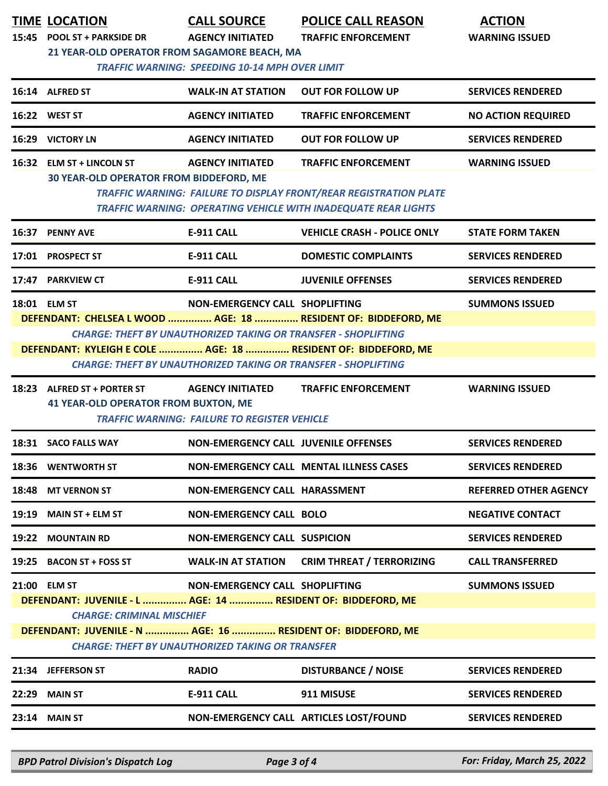|                                                                                                                         | <b>TIME LOCATION</b><br>15:45 POOL ST + PARKSIDE DR                                                                                                                                                                                                                                                                                                           | <b>CALL SOURCE</b><br><b>AGENCY INITIATED</b>                                  | <b>POLICE CALL REASON</b><br><b>TRAFFIC ENFORCEMENT</b>                                                                                                                         | <b>ACTION</b><br><b>WARNING ISSUED</b> |  |  |
|-------------------------------------------------------------------------------------------------------------------------|---------------------------------------------------------------------------------------------------------------------------------------------------------------------------------------------------------------------------------------------------------------------------------------------------------------------------------------------------------------|--------------------------------------------------------------------------------|---------------------------------------------------------------------------------------------------------------------------------------------------------------------------------|----------------------------------------|--|--|
|                                                                                                                         | 21 YEAR-OLD OPERATOR FROM SAGAMORE BEACH, MA                                                                                                                                                                                                                                                                                                                  | <b>TRAFFIC WARNING: SPEEDING 10-14 MPH OVER LIMIT</b>                          |                                                                                                                                                                                 |                                        |  |  |
|                                                                                                                         | 16:14 ALFRED ST                                                                                                                                                                                                                                                                                                                                               | <b>WALK-IN AT STATION</b>                                                      | <b>OUT FOR FOLLOW UP</b>                                                                                                                                                        | <b>SERVICES RENDERED</b>               |  |  |
|                                                                                                                         | 16:22 WEST ST                                                                                                                                                                                                                                                                                                                                                 | <b>AGENCY INITIATED</b>                                                        | <b>TRAFFIC ENFORCEMENT</b>                                                                                                                                                      | <b>NO ACTION REQUIRED</b>              |  |  |
|                                                                                                                         | 16:29 VICTORY LN                                                                                                                                                                                                                                                                                                                                              | <b>AGENCY INITIATED</b>                                                        | <b>OUT FOR FOLLOW UP</b>                                                                                                                                                        | <b>SERVICES RENDERED</b>               |  |  |
|                                                                                                                         | 16:32 ELM ST + LINCOLN ST<br>30 YEAR-OLD OPERATOR FROM BIDDEFORD, ME                                                                                                                                                                                                                                                                                          | <b>AGENCY INITIATED</b>                                                        | <b>TRAFFIC ENFORCEMENT</b><br><b>TRAFFIC WARNING: FAILURE TO DISPLAY FRONT/REAR REGISTRATION PLATE</b><br><b>TRAFFIC WARNING: OPERATING VEHICLE WITH INADEQUATE REAR LIGHTS</b> | <b>WARNING ISSUED</b>                  |  |  |
|                                                                                                                         | 16:37 PENNY AVE                                                                                                                                                                                                                                                                                                                                               | E-911 CALL                                                                     | <b>VEHICLE CRASH - POLICE ONLY</b>                                                                                                                                              | <b>STATE FORM TAKEN</b>                |  |  |
|                                                                                                                         | 17:01 PROSPECT ST                                                                                                                                                                                                                                                                                                                                             | <b>E-911 CALL</b>                                                              | <b>DOMESTIC COMPLAINTS</b>                                                                                                                                                      | <b>SERVICES RENDERED</b>               |  |  |
|                                                                                                                         | 17:47 PARKVIEW CT                                                                                                                                                                                                                                                                                                                                             | E-911 CALL                                                                     | <b>JUVENILE OFFENSES</b>                                                                                                                                                        | <b>SERVICES RENDERED</b>               |  |  |
|                                                                                                                         | NON-EMERGENCY CALL SHOPLIFTING<br>18:01 ELM ST<br><b>SUMMONS ISSUED</b><br>DEFENDANT: CHELSEA L WOOD  AGE: 18  RESIDENT OF: BIDDEFORD, ME<br><b>CHARGE: THEFT BY UNAUTHORIZED TAKING OR TRANSFER - SHOPLIFTING</b><br>DEFENDANT: KYLEIGH E COLE  AGE: 18  RESIDENT OF: BIDDEFORD, ME<br><b>CHARGE: THEFT BY UNAUTHORIZED TAKING OR TRANSFER - SHOPLIFTING</b> |                                                                                |                                                                                                                                                                                 |                                        |  |  |
|                                                                                                                         | 18:23 ALFRED ST + PORTER ST<br><b>41 YEAR-OLD OPERATOR FROM BUXTON, ME</b>                                                                                                                                                                                                                                                                                    | <b>AGENCY INITIATED</b><br><b>TRAFFIC WARNING: FAILURE TO REGISTER VEHICLE</b> | <b>TRAFFIC ENFORCEMENT</b>                                                                                                                                                      | <b>WARNING ISSUED</b>                  |  |  |
|                                                                                                                         | 18:31 SACO FALLS WAY                                                                                                                                                                                                                                                                                                                                          | <b>NON-EMERGENCY CALL JUVENILE OFFENSES</b>                                    |                                                                                                                                                                                 | <b>SERVICES RENDERED</b>               |  |  |
|                                                                                                                         | 18:36 WENTWORTH ST                                                                                                                                                                                                                                                                                                                                            |                                                                                | NON-EMERGENCY CALL MENTAL ILLNESS CASES                                                                                                                                         | <b>SERVICES RENDERED</b>               |  |  |
|                                                                                                                         | 18:48 MT VERNON ST                                                                                                                                                                                                                                                                                                                                            | NON-EMERGENCY CALL HARASSMENT                                                  |                                                                                                                                                                                 | <b>REFERRED OTHER AGENCY</b>           |  |  |
|                                                                                                                         | $19:19$ MAIN ST + ELM ST                                                                                                                                                                                                                                                                                                                                      | <b>NON-EMERGENCY CALL BOLO</b>                                                 |                                                                                                                                                                                 | <b>NEGATIVE CONTACT</b>                |  |  |
|                                                                                                                         | 19:22 MOUNTAIN RD                                                                                                                                                                                                                                                                                                                                             | <b>NON-EMERGENCY CALL SUSPICION</b>                                            |                                                                                                                                                                                 | <b>SERVICES RENDERED</b>               |  |  |
|                                                                                                                         | 19:25 BACON ST + FOSS ST                                                                                                                                                                                                                                                                                                                                      | <b>WALK-IN AT STATION</b>                                                      | <b>CRIM THREAT / TERRORIZING</b>                                                                                                                                                | <b>CALL TRANSFERRED</b>                |  |  |
|                                                                                                                         | 21:00 ELM ST<br>DEFENDANT: JUVENILE - L  AGE: 14  RESIDENT OF: BIDDEFORD, ME<br><b>CHARGE: CRIMINAL MISCHIEF</b>                                                                                                                                                                                                                                              | NON-EMERGENCY CALL SHOPLIFTING                                                 |                                                                                                                                                                                 | <b>SUMMONS ISSUED</b>                  |  |  |
| DEFENDANT: JUVENILE - N  AGE: 16  RESIDENT OF: BIDDEFORD, ME<br><b>CHARGE: THEFT BY UNAUTHORIZED TAKING OR TRANSFER</b> |                                                                                                                                                                                                                                                                                                                                                               |                                                                                |                                                                                                                                                                                 |                                        |  |  |
|                                                                                                                         | 21:34 JEFFERSON ST                                                                                                                                                                                                                                                                                                                                            | <b>RADIO</b>                                                                   | <b>DISTURBANCE / NOISE</b>                                                                                                                                                      | <b>SERVICES RENDERED</b>               |  |  |
|                                                                                                                         | <b>22:29 MAIN ST</b>                                                                                                                                                                                                                                                                                                                                          | <b>E-911 CALL</b>                                                              | 911 MISUSE                                                                                                                                                                      | <b>SERVICES RENDERED</b>               |  |  |
|                                                                                                                         | <b>23:14 MAIN ST</b>                                                                                                                                                                                                                                                                                                                                          |                                                                                | NON-EMERGENCY CALL ARTICLES LOST/FOUND                                                                                                                                          | <b>SERVICES RENDERED</b>               |  |  |

*BPD Patrol Division's Dispatch Log Page 3 of 4 For: Friday, March 25, 2022*